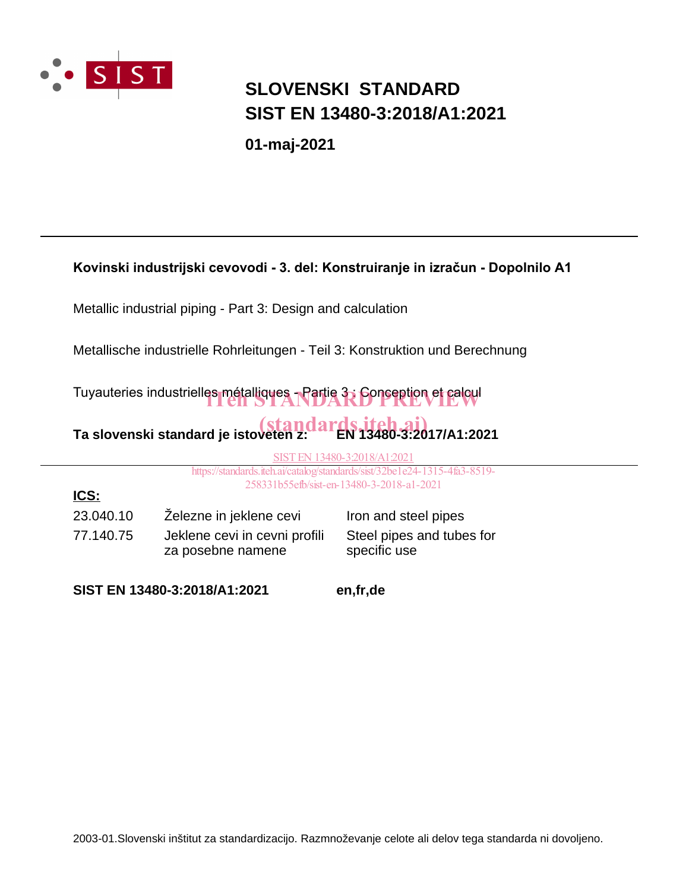

**ICS:**

### **SLOVENSKI STANDARD SIST EN 13480-3:2018/A1:2021**

**01-maj-2021**

#### **Kovinski industrijski cevovodi - 3. del: Konstruiranje in izračun - Dopolnilo A1**

Metallic industrial piping - Part 3: Design and calculation

Metallische industrielle Rohrleitungen - Teil 3: Konstruktion und Berechnung

Tuyauteries industrielles métalliques - Partie 3; Conception et calcul

# Ta slovenski standard je istoveten z: **EN 13480-3:2017/A1:2021**

SIST EN 13480-3:2018/A1:2021

https://standards.iteh.ai/catalog/standards/sist/32be1e24-1315-4fa3-8519- 258331b55efb/sist-en-13480-3-2018-a1-2021

23.040.10 Železne in jeklene cevi lron and steel pipes 77.140.75 Jeklene cevi in cevni profili za posebne namene

Steel pipes and tubes for specific use

**SIST EN 13480-3:2018/A1:2021 en,fr,de**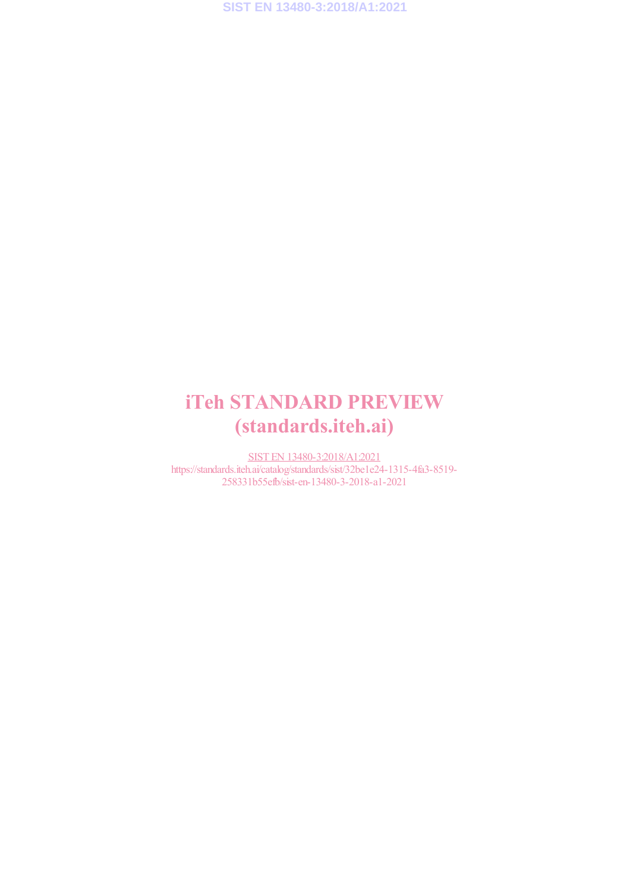### iTeh STANDARD PREVIEW (standards.iteh.ai)

SIST EN 13480-3:2018/A1:2021 https://standards.iteh.ai/catalog/standards/sist/32be1e24-1315-4fa3-8519- 258331b55efb/sist-en-13480-3-2018-a1-2021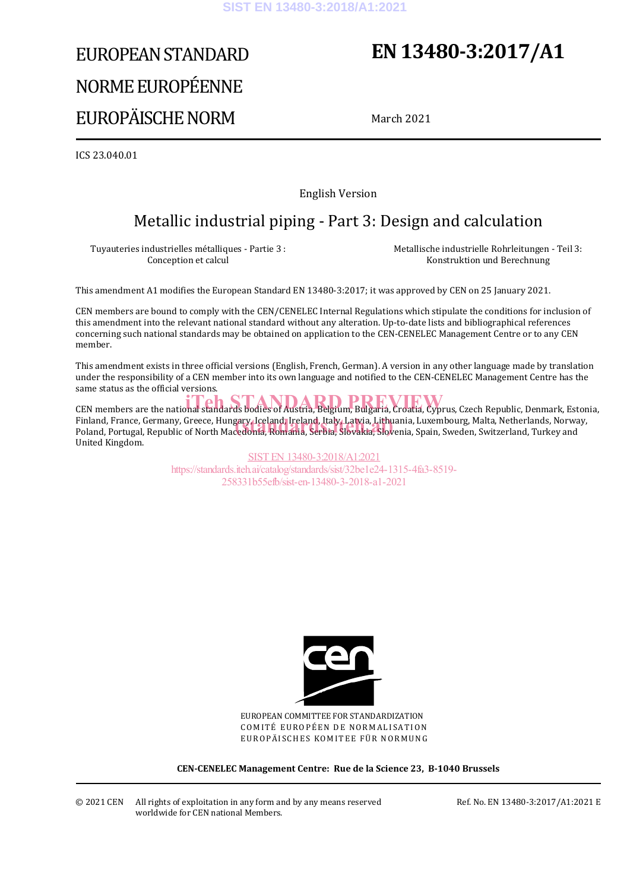# EUROPEAN STANDARD NORME EUROPÉENNE EUROPÄISCHE NORM

## **EN 13480-3:2017/A1**

March 2021

ICS 23.040.01

English Version

### Metallic industrial piping - Part 3: Design and calculation

Tuyauteries industrielles métalliques - Partie 3 : Conception et calcul

 Metallische industrielle Rohrleitungen - Teil 3: Konstruktion und Berechnung

This amendment A1 modifies the European Standard EN 13480-3:2017; it was approved by CEN on 25 January 2021.

CEN members are bound to comply with the CEN/CENELEC Internal Regulations which stipulate the conditions for inclusion of this amendment into the relevant national standard without any alteration. Up-to-date lists and bibliographical references concerning such national standards may be obtained on application to the CEN-CENELEC Management Centre or to any CEN member.

This amendment exists in three official versions (English, French, German). A version in any other language made by translation under the responsibility of a CEN member into its own language and notified to the CEN-CENELEC Management Centre has the same status as the official versions.

CEN members are the national standards bodies of Austria, Belgium, Bulgaria, Croatia, Cyprus, Czech Republic, Denmark, Estonia, Finland, France, Germany, Greece, Hungary, Iceland, Ireland, Italy, Latvia, Lithuania, Luxembourg, Malta, Netherlands, Norway, Finland, France, Germany, Greece, Hungary, Iceland, Ireland, Italy, Latvia, Lithuania, Luxembourg, Malta, Netherlands, Norwa<br>Poland, Portugal, Republic of North Macedonia, Romania, Serbia, Slovakia, Slovenia, Spain, Sweden United Kingdom.

> SIST EN 13480-3:2018/A1:2021 https://standards.iteh.ai/catalog/standards/sist/32be1e24-1315-4fa3-8519- 258331b55efb/sist-en-13480-3-2018-a1-2021



EUROPEAN COMMITTEE FOR STANDARDIZATION COMITÉ EUROPÉEN DE NORMALISATION EUROPÄISCHES KOMITEE FÜR NORMUNG

**CEN-CENELEC Management Centre: Rue de la Science 23, B-1040 Brussels** 

© 2021 CEN All rights of exploitation in any form and by any means reserved worldwide for CEN national Members.

Ref. No. EN 13480-3:2017/A1:2021 E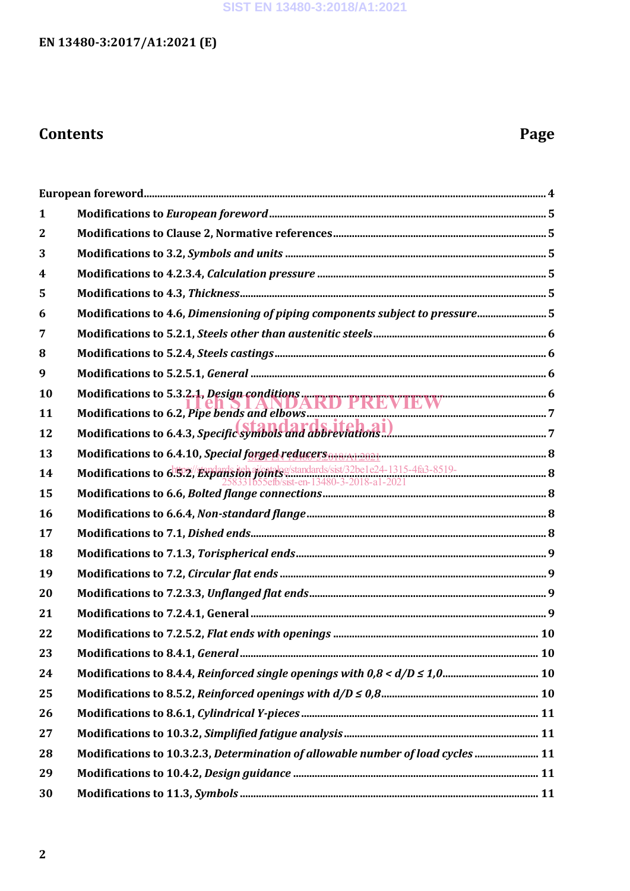#### **SIST EN 13480-3:2018/A1:2021**

### **EN 13480-3:2017/A1:2021 (E)**

### **Contents Page**

| 1            |                                                                                                                                                           |  |
|--------------|-----------------------------------------------------------------------------------------------------------------------------------------------------------|--|
| $\mathbf{2}$ |                                                                                                                                                           |  |
| 3            |                                                                                                                                                           |  |
| 4            |                                                                                                                                                           |  |
| 5            |                                                                                                                                                           |  |
| 6            | Modifications to 4.6, Dimensioning of piping components subject to pressure 5                                                                             |  |
| 7            |                                                                                                                                                           |  |
| 8            |                                                                                                                                                           |  |
| 9            |                                                                                                                                                           |  |
| 10           |                                                                                                                                                           |  |
| 11           |                                                                                                                                                           |  |
| 12           | Modifications to 5.3.2.1, Design conditions<br>Modifications to 6.2, Pipe bends and elbows<br>Modifications to 6.4.3, Specific symbols and abbreviations. |  |
| 13           | Modifications to 6.4.10, Special forged reducers or a consumer manument manument and 8                                                                    |  |
| 14           |                                                                                                                                                           |  |
| 15           | الصوت المستقطع المستقطع المستقطع المستقطع المستقطع المستقطع المستقطع المستقطع المستقطع المستقطع المستقطعة المستقطعة                                       |  |
| 16           |                                                                                                                                                           |  |
| 17           |                                                                                                                                                           |  |
| 18           |                                                                                                                                                           |  |
| 19           |                                                                                                                                                           |  |
| 20           |                                                                                                                                                           |  |
| 21           |                                                                                                                                                           |  |
| 22           |                                                                                                                                                           |  |
| 23           |                                                                                                                                                           |  |
| 24           |                                                                                                                                                           |  |
| 25           |                                                                                                                                                           |  |
| 26           |                                                                                                                                                           |  |
| 27           |                                                                                                                                                           |  |
| 28           | Modifications to 10.3.2.3, Determination of allowable number of load cycles  11                                                                           |  |
| 29           |                                                                                                                                                           |  |
| 30           |                                                                                                                                                           |  |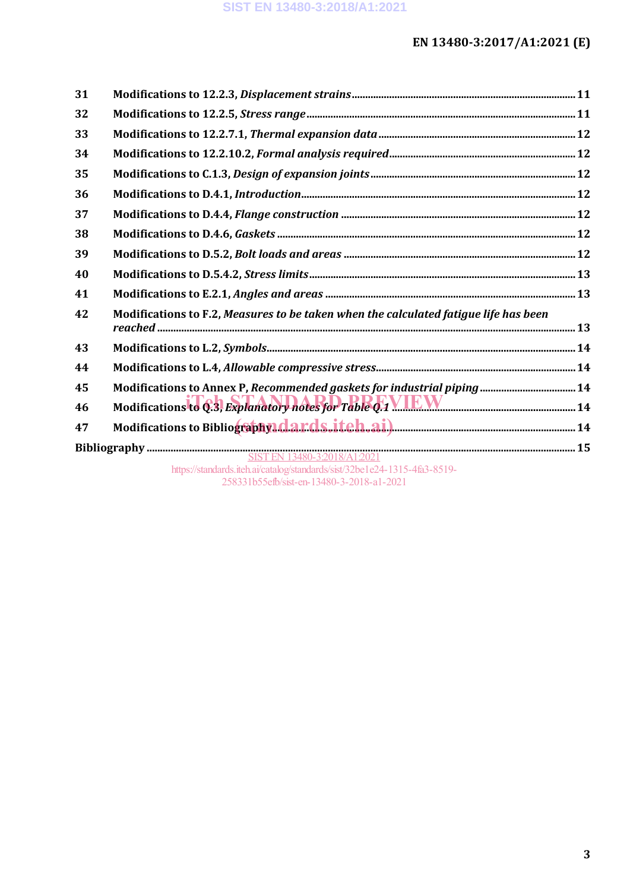| 31 |                                                                                      |  |
|----|--------------------------------------------------------------------------------------|--|
| 32 |                                                                                      |  |
| 33 |                                                                                      |  |
| 34 |                                                                                      |  |
| 35 |                                                                                      |  |
| 36 |                                                                                      |  |
| 37 |                                                                                      |  |
| 38 |                                                                                      |  |
| 39 |                                                                                      |  |
| 40 |                                                                                      |  |
| 41 |                                                                                      |  |
| 42 | Modifications to F.2, Measures to be taken when the calculated fatigue life has been |  |
| 43 |                                                                                      |  |
| 44 |                                                                                      |  |
| 45 | Modifications to Annex P, Recommended gaskets for industrial piping  14              |  |
| 46 | Modifications to <b>6.3, Explanatory hotes for Table 0.1 VIEW</b>                    |  |
| 47 |                                                                                      |  |
|    |                                                                                      |  |
|    | https://standards.iteh.ai/catalog/standards/sist/32be1e24-1315-4fa3-8519-            |  |

258331b55efb/sist-en-13480-3-2018-a1-2021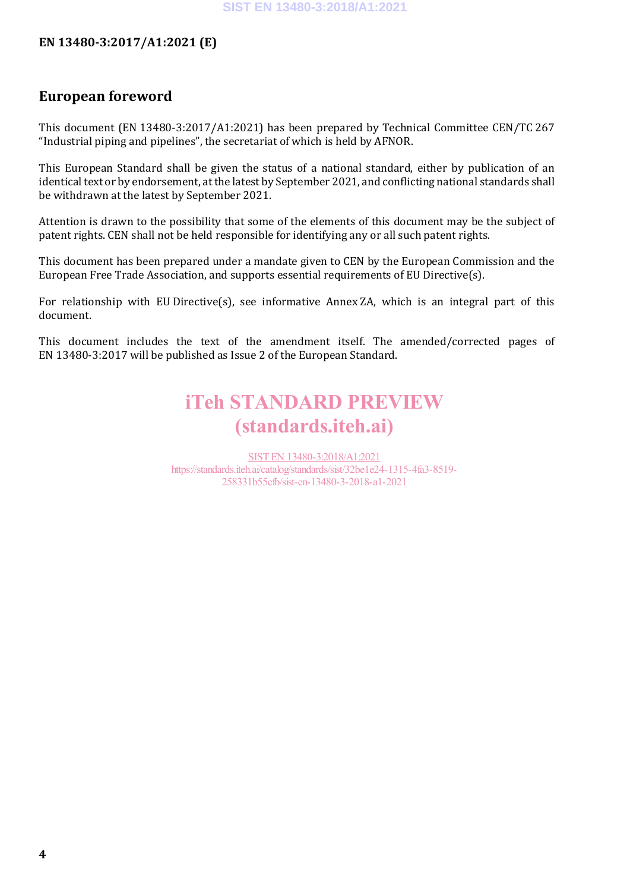### **European foreword**

This document (EN 13480-3:2017/A1:2021) has been prepared by Technical Committee CEN/TC 267 "Industrial piping and pipelines", the secretariat of which is held by AFNOR.

This European Standard shall be given the status of a national standard, either by publication of an identical text or by endorsement, at the latest by September 2021, and conflicting national standards shall be withdrawn at the latest by September 2021.

Attention is drawn to the possibility that some of the elements of this document may be the subject of patent rights. CEN shall not be held responsible for identifying any or all such patent rights.

This document has been prepared under a mandate given to CEN by the European Commission and the European Free Trade Association, and supports essential requirements of EU Directive(s).

For relationship with EU Directive(s), see informative Annex ZA, which is an integral part of this document.

This document includes the text of the amendment itself. The amended/corrected pages of EN 13480-3:2017 will be published as Issue 2 of the European Standard.

### iTeh STANDARD PREVIEW (standards.iteh.ai)

SIST EN 13480-3:2018/A1:2021 https://standards.iteh.ai/catalog/standards/sist/32be1e24-1315-4fa3-8519- 258331b55efb/sist-en-13480-3-2018-a1-2021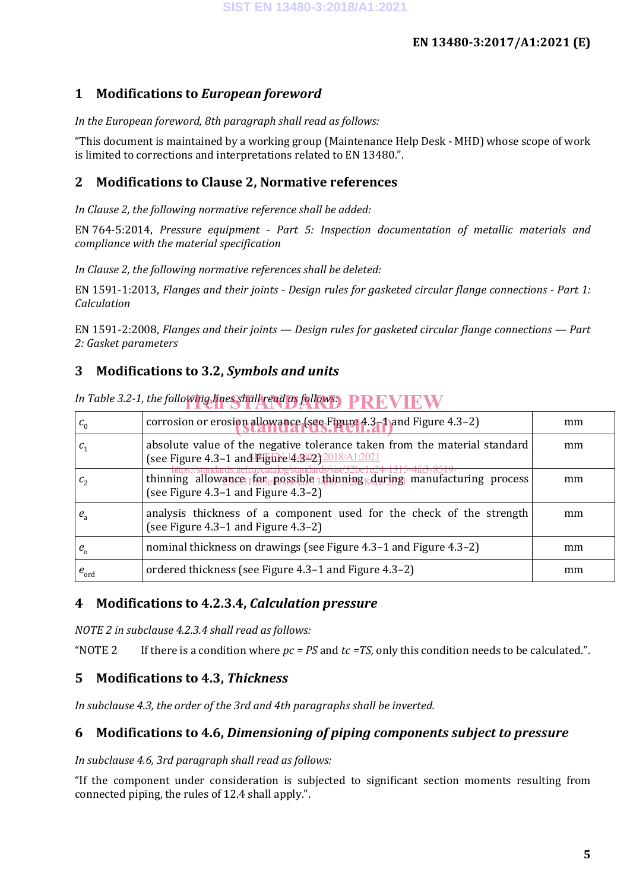#### **1 Modifications to** *European foreword*

#### *In the European foreword, 8th paragraph shall read as follows:*

"This document is maintained by a working group (Maintenance Help Desk - MHD) whose scope of work is limited to corrections and interpretations related to EN 13480.".

#### **2 Modifications to Clause 2, Normative references**

*In Clause 2, the following normative reference shall be added:*

EN 764-5:2014, *Pressure equipment - Part 5: Inspection documentation of metallic materials and compliance with the material specification*

*In Clause 2, the following normative references shall be deleted:*

EN 1591-1:2013, *Flanges and their joints - Design rules for gasketed circular flange connections - Part 1: Calculation*

EN 1591-2:2008, *Flanges and their joints — Design rules for gasketed circular flange connections — Part 2: Gasket parameters*

#### **3 Modifications to 3.2,** *Symbols and units*

| $c_0$                      | corrosion or erosion allowance (see Figure 4.3-1) and Figure 4.3-2)                                                             | mm |
|----------------------------|---------------------------------------------------------------------------------------------------------------------------------|----|
|                            | absolute value of the negative tolerance taken from the material standard<br>(see Figure 4.3-1 and Figure 14.8.023.2018/A1.2021 | mm |
|                            | thinning allowance 1 for epossible 3 thinning during manufacturing process<br>(see Figure 4.3-1 and Figure 4.3-2)               | mm |
| $e_{\scriptscriptstyle a}$ | analysis thickness of a component used for the check of the strength<br>(see Figure 4.3–1 and Figure 4.3–2)                     | mm |
| $e_{n}$                    | nominal thickness on drawings (see Figure 4.3–1 and Figure 4.3–2)                                                               | mm |
| $e_{\text{ord}}$           | ordered thickness (see Figure 4.3–1 and Figure 4.3–2)                                                                           | mm |

*In Table 3.2-1, the following lines shall read as follows:* PREVIEW

#### **4 Modifications to 4.2.3.4,** *Calculation pressure*

*NOTE 2 in subclause 4.2.3.4 shall read as follows:*

"NOTE 2 If there is a condition where  $pc = PS$  and  $tc = TS$ , only this condition needs to be calculated.".

#### **5 Modifications to 4.3,** *Thickness*

*In subclause 4.3, the order of the 3rd and 4th paragraphs shall be inverted.*

#### **6 Modifications to 4.6,** *Dimensioning of piping components subject to pressure*

#### *In subclause 4.6, 3rd paragraph shall read as follows:*

"If the component under consideration is subjected to significant section moments resulting from connected piping, the rules of 12.4 shall apply.".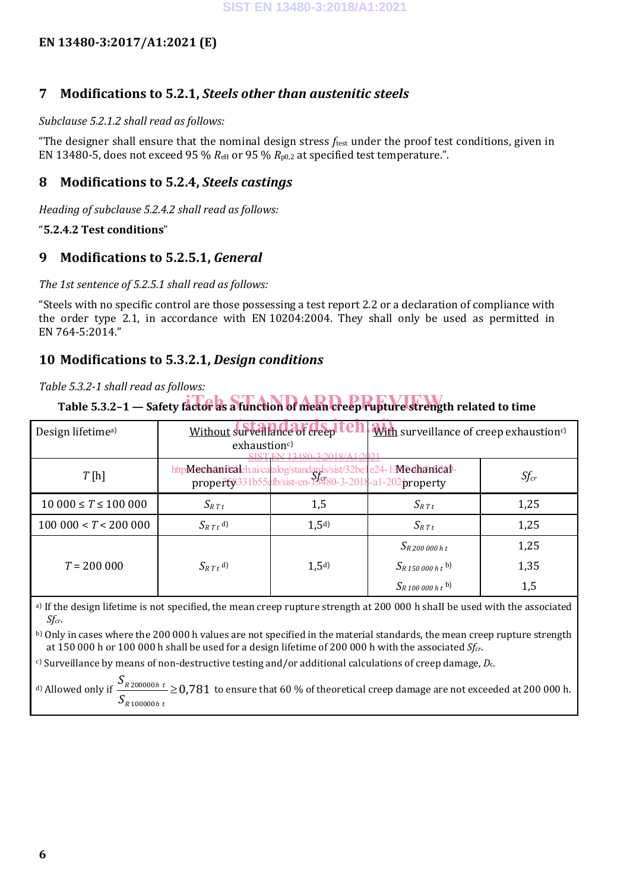#### **7 Modifications to 5.2.1,** *Steels other than austenitic steels*

#### *Subclause 5.2.1.2 shall read as follows:*

"The designer shall ensure that the nominal design stress *f*test under the proof test conditions, given in EN 13480-5, does not exceed 95 %  $R_{\text{eH}}$  or 95 %  $R_{\text{p0,2}}$  at specified test temperature.".

#### **8 Modifications to 5.2.4,** *Steels castings*

*Heading of subclause 5.2.4.2 shall read as follows:*

#### "**5.2.4.2 Test conditions**"

#### **9 Modifications to 5.2.5.1,** *General*

#### *The 1st sentence of 5.2.5.1 shall read as follows:*

"Steels with no specific control are those possessing a test report 2.2 or a declaration of compliance with the order type 2.1, in accordance with EN 10204:2004. They shall only be used as permitted in EN 764-5:2014."

#### **10 Modifications to 5.3.2.1,** *Design conditions*

#### *Table 5.3.2-1 shall read as follows:*

### Table 5.3.2-1 — Safety factor as a function of mean creep rupture strength related to time

| Design lifetime <sup>a)</sup>  | Without surveillance of creep<br><b>With surveillance of creep exhaustioncly</b><br>exhaustion <sup>c)</sup>                |                  |                                     |           |
|--------------------------------|-----------------------------------------------------------------------------------------------------------------------------|------------------|-------------------------------------|-----------|
| T[h]                           | httpMechanicaleh.ai/catalog/standards/sist/32be1e24-13Mechanical-<br>property3331b55efb/sist-en-19480-3-2018-a1-202property |                  |                                     | $Sf_{cr}$ |
| $10\,000 \leq T \leq 100\,000$ | $S_{R T t}$                                                                                                                 | 1,5              | $S_{R T t}$                         | 1,25      |
| 100000 < T < 200000            | $S_{R T t}$ <sup>d)</sup>                                                                                                   | 1.5 <sup>d</sup> | $S_{R T t}$                         | 1,25      |
|                                |                                                                                                                             |                  | $S_{R}$ 200 000 h t                 | 1,25      |
| $T = 200000$                   | $S_{R T t}$ <sup>d)</sup>                                                                                                   | 1,5 <sup>d</sup> | $S_{R,150,000\;h\;t}$ <sup>b)</sup> | 1,35      |
|                                |                                                                                                                             |                  | $S_{R100\,000\,h\,t}$ <sup>b)</sup> | 1,5       |

a) If the design lifetime is not specified, the mean creep rupture strength at 200 000 h shaII be used with the associated *Sfcr*.

b) Only in cases where the 200 000 h values are not specified in the material standards, the mean creep rupture strength at 150 000 h or 100 000 h shall be used for a design lifetime of 200 000 h with the associated *Sfcr*.

c) Surveillance by means of non-destructive testing and/or additional calculations of creep damage, *D*c.

<sup>d)</sup> Allowed only if  $\frac{S_{R200000h t}}{S} \ge 0,781$  $S_{\rm \scriptscriptstyle R\,100000}$ h t to ensure that 60 % of theoretical creep damage are not exceeded at 200 000 h.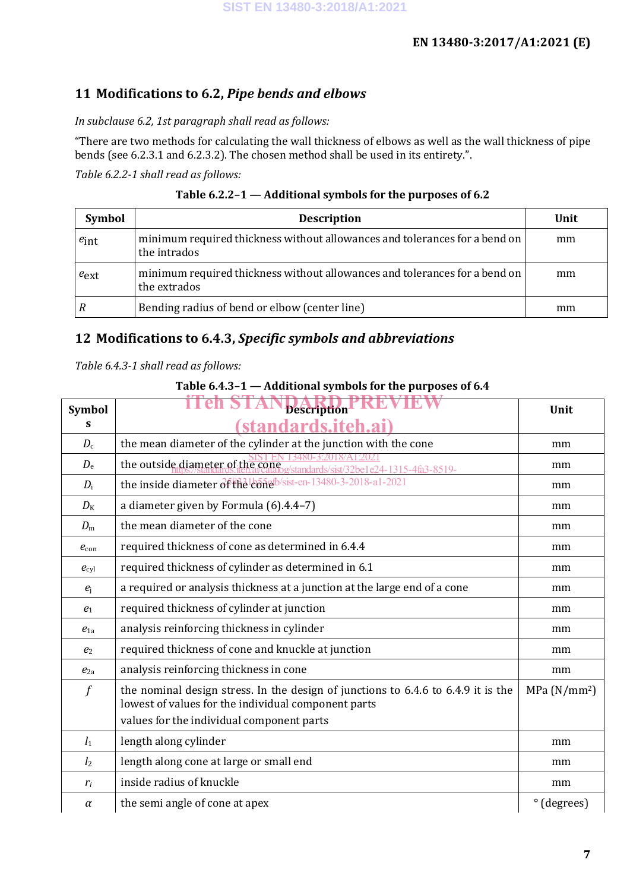#### **11 Modifications to 6.2,** *Pipe bends and elbows*

#### *In subclause 6.2, 1st paragraph shall read as follows:*

"There are two methods for calculating the wall thickness of elbows as well as the wall thickness of pipe bends (see 6.2.3.1 and 6.2.3.2). The chosen method shall be used in its entirety.".

*Table 6.2.2-1 shall read as follows:*

| Table 6.2.2-1 - Additional symbols for the purposes of 6.2 |  |  |  |
|------------------------------------------------------------|--|--|--|
|                                                            |  |  |  |

| <b>Symbol</b>    | <b>Description</b>                                                                         | Unit |
|------------------|--------------------------------------------------------------------------------------------|------|
| $e_{int}$        | minimum required thickness without allowances and tolerances for a bend on<br>the intrados | mm   |
| $e_{\text{ext}}$ | minimum required thickness without allowances and tolerances for a bend on<br>the extrados | mm   |
|                  | Bending radius of bend or elbow (center line)                                              | mm   |

#### **12 Modifications to 6.4.3,** *Specific symbols and abbreviations*

*Table 6.4.3-1 shall read as follows:*

#### **Table 6.4.3–1 — Additional symbols for the purposes of 6.4**

| <b>Symbol</b>    | <b>DDDAMIN</b><br><b>Description</b>                                                                                                                                                  | Unit                     |
|------------------|---------------------------------------------------------------------------------------------------------------------------------------------------------------------------------------|--------------------------|
| S                | ndards.iteh.ai)                                                                                                                                                                       |                          |
| $D_{c}$          | the mean diameter of the cylinder at the junction with the cone                                                                                                                       | mm                       |
| $D_{\rm e}$      | the outside diameter of the cone<br>dards/sist/32be1e24-1315-4fa3-8519-                                                                                                               | mm                       |
| $D_i$            | the inside diameter of the leonels ist-en-13480-3-2018-a1-2021                                                                                                                        | mm                       |
| $D_{\rm K}$      | a diameter given by Formula (6).4.4-7)                                                                                                                                                | mm                       |
| $D_{\rm m}$      | the mean diameter of the cone                                                                                                                                                         | mm                       |
| $e_{\rm con}$    | required thickness of cone as determined in 6.4.4                                                                                                                                     | mm                       |
| $e_{\text{cyl}}$ | required thickness of cylinder as determined in 6.1                                                                                                                                   | mm                       |
| $e_i$            | a required or analysis thickness at a junction at the large end of a cone                                                                                                             | mm                       |
| $e_1$            | required thickness of cylinder at junction                                                                                                                                            | mm                       |
| $e_{1a}$         | analysis reinforcing thickness in cylinder                                                                                                                                            | mm                       |
| e <sub>2</sub>   | required thickness of cone and knuckle at junction                                                                                                                                    | mm                       |
| $e_{2a}$         | analysis reinforcing thickness in cone                                                                                                                                                | mm                       |
| $\int$           | the nominal design stress. In the design of junctions to 6.4.6 to 6.4.9 it is the<br>lowest of values for the individual component parts<br>values for the individual component parts | MPa (N/mm <sup>2</sup> ) |
| $l_1$            | length along cylinder                                                                                                                                                                 | mm                       |
| l <sub>2</sub>   | length along cone at large or small end                                                                                                                                               | mm                       |
| $r_i$            | inside radius of knuckle                                                                                                                                                              | mm                       |
| $\alpha$         | the semi angle of cone at apex                                                                                                                                                        | ° (degrees)              |